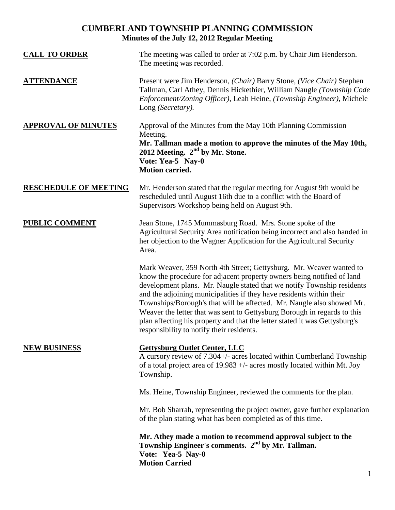# **CUMBERLAND TOWNSHIP PLANNING COMMISSION Minutes of the July 12, 2012 Regular Meeting**

| <b>CALL TO ORDER</b>         | The meeting was called to order at 7:02 p.m. by Chair Jim Henderson.<br>The meeting was recorded.                                                                                                                                                                                                                                                                                                                                                                                                                                                                               |
|------------------------------|---------------------------------------------------------------------------------------------------------------------------------------------------------------------------------------------------------------------------------------------------------------------------------------------------------------------------------------------------------------------------------------------------------------------------------------------------------------------------------------------------------------------------------------------------------------------------------|
| <b>ATTENDANCE</b>            | Present were Jim Henderson, (Chair) Barry Stone, (Vice Chair) Stephen<br>Tallman, Carl Athey, Dennis Hickethier, William Naugle (Township Code<br>Enforcement/Zoning Officer), Leah Heine, (Township Engineer), Michele<br>Long (Secretary).                                                                                                                                                                                                                                                                                                                                    |
| <b>APPROVAL OF MINUTES</b>   | Approval of the Minutes from the May 10th Planning Commission<br>Meeting.<br>Mr. Tallman made a motion to approve the minutes of the May 10th,<br>2012 Meeting. 2 <sup>nd</sup> by Mr. Stone.<br>Vote: Yea-5 Nay-0<br><b>Motion carried.</b>                                                                                                                                                                                                                                                                                                                                    |
| <b>RESCHEDULE OF MEETING</b> | Mr. Henderson stated that the regular meeting for August 9th would be<br>rescheduled until August 16th due to a conflict with the Board of<br>Supervisors Workshop being held on August 9th.                                                                                                                                                                                                                                                                                                                                                                                    |
| <b>PUBLIC COMMENT</b>        | Jean Stone, 1745 Mummasburg Road. Mrs. Stone spoke of the<br>Agricultural Security Area notification being incorrect and also handed in<br>her objection to the Wagner Application for the Agricultural Security<br>Area.                                                                                                                                                                                                                                                                                                                                                       |
|                              | Mark Weaver, 359 North 4th Street; Gettysburg. Mr. Weaver wanted to<br>know the procedure for adjacent property owners being notified of land<br>development plans. Mr. Naugle stated that we notify Township residents<br>and the adjoining municipalities if they have residents within their<br>Townships/Borough's that will be affected. Mr. Naugle also showed Mr.<br>Weaver the letter that was sent to Gettysburg Borough in regards to this<br>plan affecting his property and that the letter stated it was Gettysburg's<br>responsibility to notify their residents. |
| <b>NEW BUSINESS</b>          | <b>Gettysburg Outlet Center, LLC</b><br>A cursory review of 7.304+/- acres located within Cumberland Township<br>of a total project area of 19.983 $+/-$ acres mostly located within Mt. Joy<br>Township.                                                                                                                                                                                                                                                                                                                                                                       |
|                              | Ms. Heine, Township Engineer, reviewed the comments for the plan.                                                                                                                                                                                                                                                                                                                                                                                                                                                                                                               |
|                              | Mr. Bob Sharrah, representing the project owner, gave further explanation<br>of the plan stating what has been completed as of this time.                                                                                                                                                                                                                                                                                                                                                                                                                                       |
|                              | Mr. Athey made a motion to recommend approval subject to the<br>Township Engineer's comments. 2 <sup>nd</sup> by Mr. Tallman.<br>Vote: Yea-5 Nay-0<br><b>Motion Carried</b>                                                                                                                                                                                                                                                                                                                                                                                                     |